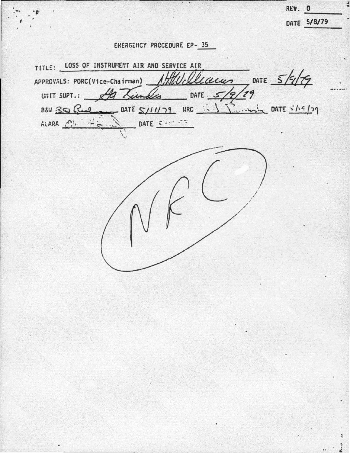ENERGENCY PROCEDURE EP- 35

TITLE: LOSS OF INSTRUMENT AIR AND SERVICE AIR DATE  $5/9/79$ APPROVALS: PORC(Vice-Chairman) Laun UNIT SUPT.: 22 Lindly DATE  $5/9/79$ DATE  $S/11/79$  ARC  $\frac{1}{2}$   $\frac{1}{2}$   $\frac{1}{2}$   $\frac{1}{2}$  DATE  $\frac{5}{19}$ BEW 30 Rul ALARA (") DATE CAN STR  $\div$   $\sim$ 

DATE 5/8/79

REV. O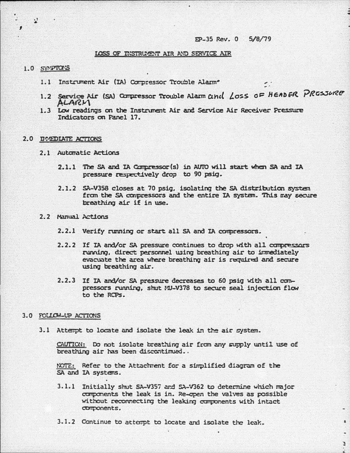# EP-35 Rev. 0 5/8/79

### LOSS OF INSTRUMENT AIR AND SERVICE AIR

### 1.0 SYMPTOM'S

 $\mathbf{A}$ 

- 1.1 Instrument Air (IA) Compressor Trouble Alarm<sup>o</sup>
- 1.2 Service Air (SA) Compressor Trouble Alarm and Loss OF HEADER PRESSURE ALARM
- 1.3 Low readings on the Instrument Air and Service Air Receiver Pressure Indicators on Panel 17.

### 2.0 DOUDLATE ACTIONS

- 2.1 Automatic Actions
	- 2.1.1 The SA and IA Compressor(s) in AUTO will start when SA and IA pressure respectively drop to 90 psig.
	- 2.1.2 SA-V358 closes at 70 psig. isolating the SA distribution system from the SA compressors and the entire IA system. This may secure breathing air if in use.

## 2.2 Manual Actions

- 2.2.1 Verify running or start all SA and IA compressors.
- 2.2.2 If IA and/or SA pressure continues to drop with all compressors runding, direct personnel using breathing air to immediately evacuate the area where breathing air is required and secure using breathing air.
- 2.2.3 If IA and/or SA pressure decreases to 60 psig with all compressors running, shut MJ-V378 to secure seal injection flow to the RCPs.

#### 3.0 FOLLOW-UP ACTIONS

3.1 Attempt to locate and isolate the leak in the air system.

CAUTION: Do not isolate breathing air from any supply until use of breathing air has been discontinued..

NOTE: Refer to the Attachment for a simplified diagram of the SA and IA systems.

3.1.1 Initially shut SA-V357 and SA-V362 to determine which major components the leak is in. Re-open the valves as possible without reconnecting the leaking components with intact corponents.

÷,

3.1.2 Continue to attempt to locate and isolate the leak.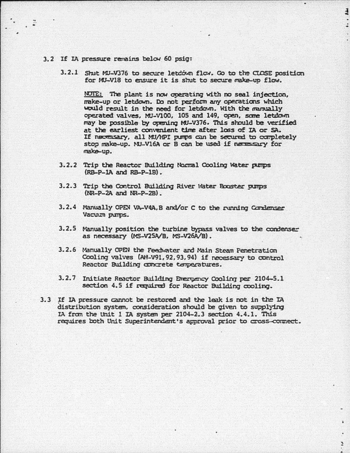## 3. 2 If IA pressure renains belcu 60 psig:

 $\ddot{z}$ 

3.2.1 Shut MU-V376 to secure letdown flow. Go to the CLOSE position for MU-V18 to ensure it is shut to secure make-up flow.

 $\overline{1}$ 

¥.

NOTE: The plant is now operating with no seal injection, would result in the need for letdown. With the manually make-up or letdown. Do not perform any operations which operated valves, MJ-VlOO, 105 and 149, open, sane letdown may be possible by opening MU-V376. This should be verified at the earliest convenient time after loss of IA or SA. If necessary, all MU/HPI purps can be secured to completely rrake-up. stop make-up. NU-V16A or B can be used if necessary for

- 3. 2. 2 Trip the Reactor Building Nomal Coollng water putpS  $(RB-P-1A$  and  $RB-P-1B)$ .
- 3.2.3 Trip the Control Building River Water Booster pumps  $(NR-P-2A$  and  $NR-P-2B)$ .
- 3.2.4 Manually OPEN VA-V4A, B and/or C to the running Condenser Vacuum pumps.
- 3.2.5 Manually position the turbine bypass valves to the condenser as necessary (MS-V25A/B, MS-V26A/B).
- 3.2.6 Manually OPEN the Feedwater and Main Steam Penetration Cooling valves (AH-V91, 92, 93, 94) if necessary to control Reactor Building concrete temperatures.
- 3.2.7 Initiate Reactor Building Energency Cooling per 2104-5.1 section 4.5 if required for Reactor Building cooling.
- 3.3 If IA pressure cannot be restored and the leak is not in the IA distribution system, consideration should be given to supplying IA fran the unit l IA systen per 2104-2.3 section 4.4.1. This requires both Unit Superintendent's approval prior to cross-connect.